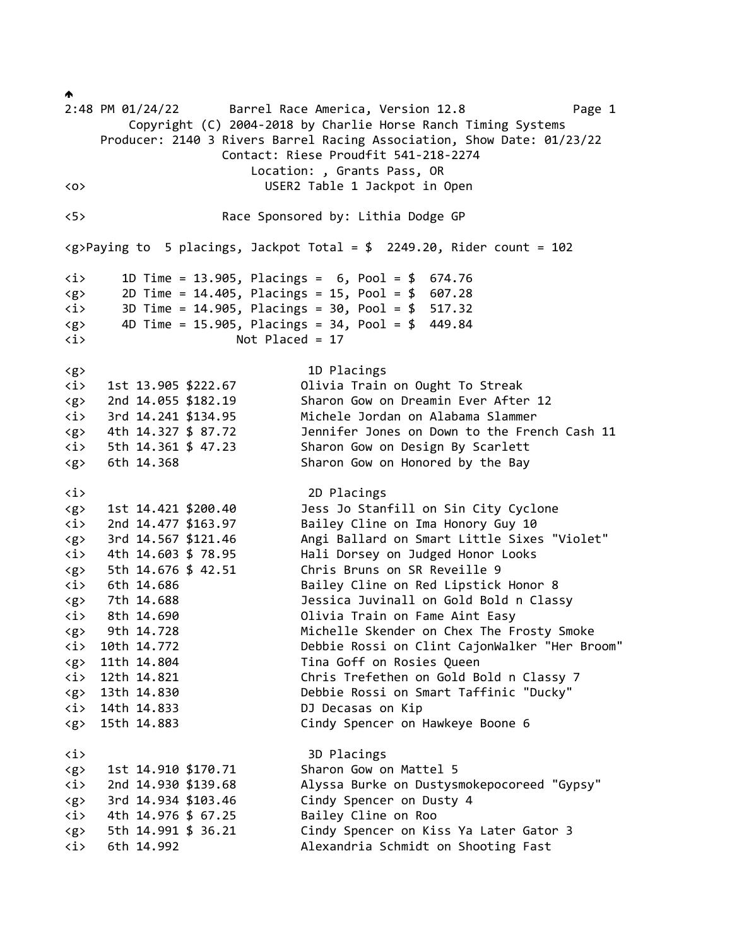$\blacklozenge$ 2:48 PM 01/24/22 Barrel Race America, Version 12.8 Page 1 Copyright (C) 2004-2018 by Charlie Horse Ranch Timing Systems Producer: 2140 3 Rivers Barrel Racing Association, Show Date: 01/23/22 Contact: Riese Proudfit 541-218-2274 Location: , Grants Pass, OR <o> USER2 Table 1 Jackpot in Open <5> Race Sponsored by: Lithia Dodge GP <g>Paying to 5 placings, Jackpot Total = \$ 2249.20, Rider count = 102 <i> 1D Time = 13.905, Placings = 6, Pool = \$ 674.76 <g> 2D Time = 14.405, Placings = 15, Pool = \$ 607.28 <i> 3D Time = 14.905, Placings = 30, Pool = \$ 517.32  $\langle g \rangle$  4D Time = 15.905, Placings = 34, Pool = \$ 449.84 <i> Not Placed = 17 <g> 1D Placings <i> 1st 13.905 \$222.67 Olivia Train on Ought To Streak <g> 2nd 14.055 \$182.19 Sharon Gow on Dreamin Ever After 12 <i> 3rd 14.241 \$134.95 Michele Jordan on Alabama Slammer <g> 4th 14.327 \$ 87.72 Jennifer Jones on Down to the French Cash 11 <i> 5th 14.361 \$ 47.23 Sharon Gow on Design By Scarlett <g> 6th 14.368 Sharon Gow on Honored by the Bay <i> 2D Placings <g> 1st 14.421 \$200.40 Jess Jo Stanfill on Sin City Cyclone <i> 2nd 14.477 \$163.97 Bailey Cline on Ima Honory Guy 10 <g> 3rd 14.567 \$121.46 Angi Ballard on Smart Little Sixes "Violet" <i> 4th 14.603 \$ 78.95 Hali Dorsey on Judged Honor Looks <g> 5th 14.676 \$ 42.51 Chris Bruns on SR Reveille 9 <i> 6th 14.686 Bailey Cline on Red Lipstick Honor 8 <g> 7th 14.688 Jessica Juvinall on Gold Bold n Classy <i> 8th 14.690 Olivia Train on Fame Aint Easy <g> 9th 14.728 Michelle Skender on Chex The Frosty Smoke <i> 10th 14.772 Debbie Rossi on Clint CajonWalker "Her Broom" <g> 11th 14.804 Tina Goff on Rosies Queen <i> 12th 14.821 Chris Trefethen on Gold Bold n Classy 7 <g> 13th 14.830 Debbie Rossi on Smart Taffinic "Ducky" <i> 14th 14.833 DJ Decasas on Kip <g> 15th 14.883 Cindy Spencer on Hawkeye Boone 6 <i> 3D Placings <g> 1st 14.910 \$170.71 Sharon Gow on Mattel 5 <i> 2nd 14.930 \$139.68 Alyssa Burke on Dustysmokepocoreed "Gypsy" <g> 3rd 14.934 \$103.46 Cindy Spencer on Dusty 4 <i> 4th 14.976 \$ 67.25 Bailey Cline on Roo <g> 5th 14.991 \$ 36.21 Cindy Spencer on Kiss Ya Later Gator 3 <i> 6th 14.992 Alexandria Schmidt on Shooting Fast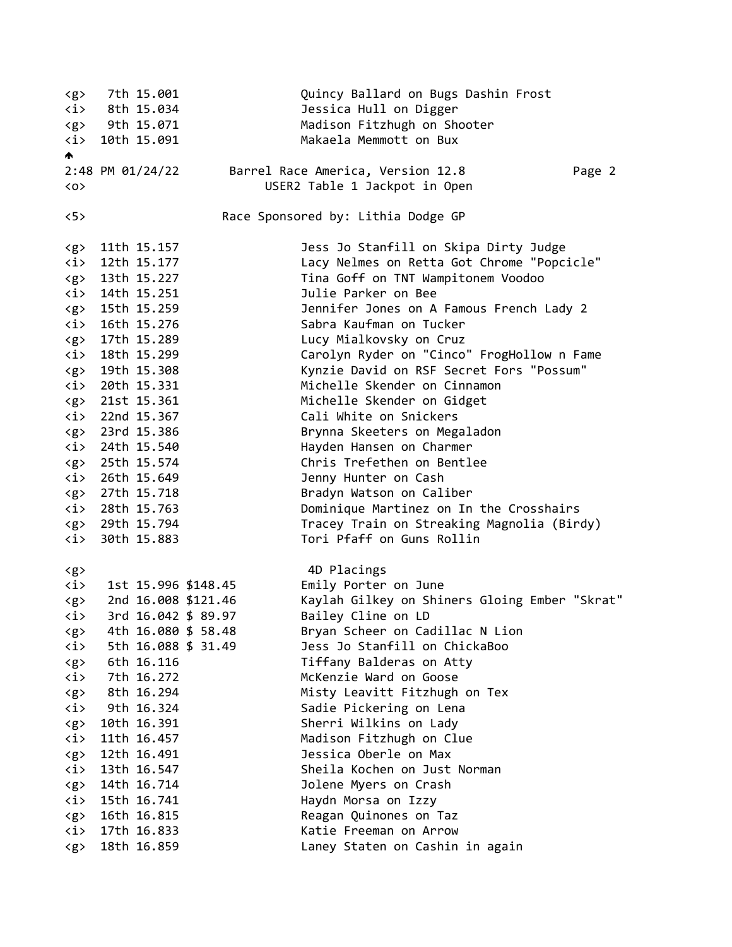<g> 7th 15.001 Quincy Ballard on Bugs Dashin Frost <i> 8th 15.034 Jessica Hull on Digger <g> 9th 15.071 Madison Fitzhugh on Shooter <i> 10th 15.091 Makaela Memmott on Bux A. 2:48 PM 01/24/22 Barrel Race America, Version 12.8 Page 2 <o> USER2 Table 1 Jackpot in Open <5> Race Sponsored by: Lithia Dodge GP <g> 11th 15.157 Jess Jo Stanfill on Skipa Dirty Judge <i> 12th 15.177 Lacy Nelmes on Retta Got Chrome "Popcicle" <g> 13th 15.227 Tina Goff on TNT Wampitonem Voodoo <i> 14th 15.251 Julie Parker on Bee <g> 15th 15.259 Jennifer Jones on A Famous French Lady 2 <i> 16th 15.276 Sabra Kaufman on Tucker <g> 17th 15.289 Lucy Mialkovsky on Cruz <i> 18th 15.299 Carolyn Ryder on "Cinco" FrogHollow n Fame <g> 19th 15.308 Kynzie David on RSF Secret Fors "Possum" <i> 20th 15.331 Michelle Skender on Cinnamon <g> 21st 15.361 Michelle Skender on Gidget <i> 22nd 15.367 Cali White on Snickers <g> 23rd 15.386 Brynna Skeeters on Megaladon <i> 24th 15.540 Hayden Hansen on Charmer <g> 25th 15.574 Chris Trefethen on Bentlee <i> 26th 15.649 Jenny Hunter on Cash <g> 27th 15.718 Bradyn Watson on Caliber <i> 28th 15.763 Dominique Martinez on In the Crosshairs <g> 29th 15.794 Tracey Train on Streaking Magnolia (Birdy) <i> 30th 15.883 Tori Pfaff on Guns Rollin <g> 4D Placings <i> 1st 15.996 \$148.45 Emily Porter on June <g> 2nd 16.008 \$121.46 Kaylah Gilkey on Shiners Gloing Ember "Skrat" <i> 3rd 16.042 \$ 89.97 Bailey Cline on LD <g> 4th 16.080 \$ 58.48 Bryan Scheer on Cadillac N Lion <i> 5th 16.088 \$ 31.49 Jess Jo Stanfill on ChickaBoo <g> 6th 16.116 Tiffany Balderas on Atty <i> 7th 16.272 McKenzie Ward on Goose <g> 8th 16.294 Misty Leavitt Fitzhugh on Tex <i> 9th 16.324 Sadie Pickering on Lena <g> 10th 16.391 Sherri Wilkins on Lady <i> 11th 16.457 Madison Fitzhugh on Clue <g> 12th 16.491 Jessica Oberle on Max <i> 13th 16.547 Sheila Kochen on Just Norman <g> 14th 16.714 Jolene Myers on Crash <i> 15th 16.741 Haydn Morsa on Izzy <g> 16th 16.815 Reagan Quinones on Taz <i> 17th 16.833 Katie Freeman on Arrow <g> 18th 16.859 Laney Staten on Cashin in again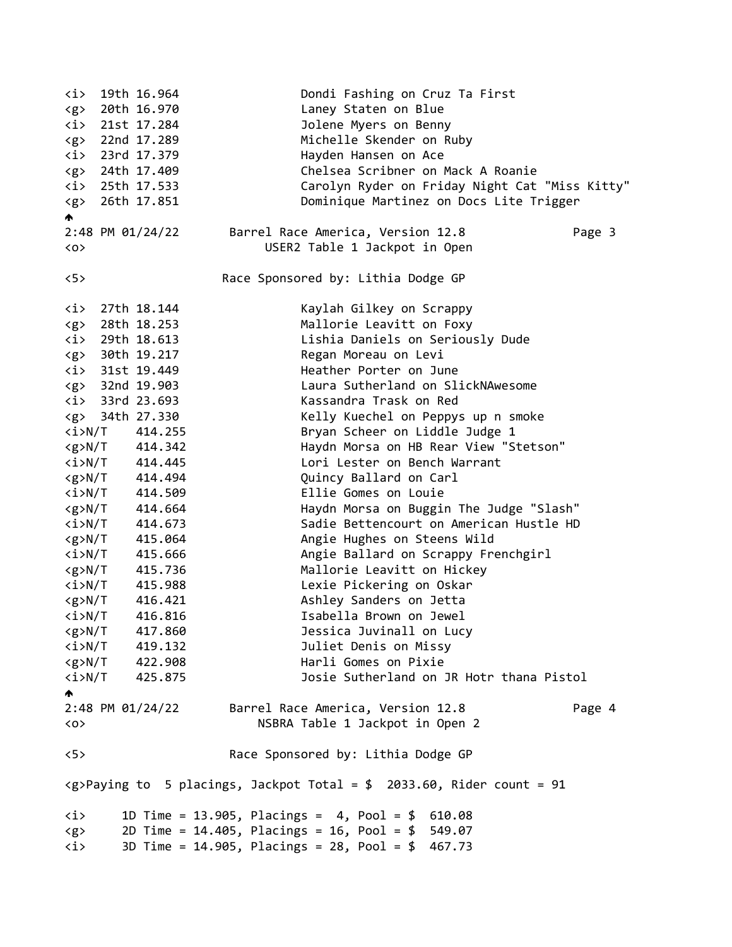<i> 19th 16.964 Dondi Fashing on Cruz Ta First <g> 20th 16.970 Laney Staten on Blue <i> 21st 17.284 Jolene Myers on Benny <g> 22nd 17.289 Michelle Skender on Ruby <i> 23rd 17.379 Hayden Hansen on Ace <g> 24th 17.409 Chelsea Scribner on Mack A Roanie <i> 25th 17.533 Carolyn Ryder on Friday Night Cat "Miss Kitty" <g> 26th 17.851 Dominique Martinez on Docs Lite Trigger ∧ 2:48 PM 01/24/22 Barrel Race America, Version 12.8 Page 3 <o> USER2 Table 1 Jackpot in Open <5> Race Sponsored by: Lithia Dodge GP <i> 27th 18.144 Kaylah Gilkey on Scrappy <g> 28th 18.253 Mallorie Leavitt on Foxy <i> 29th 18.613 Lishia Daniels on Seriously Dude <g> 30th 19.217 Regan Moreau on Levi <i> 31st 19.449 Heather Porter on June <g> 32nd 19.903 Laura Sutherland on SlickNAwesome <i> 33rd 23.693 Kassandra Trask on Red <g> 34th 27.330 Kelly Kuechel on Peppys up n smoke <i>N/T 414.255 Bryan Scheer on Liddle Judge 1 <g>N/T 414.342 Haydn Morsa on HB Rear View "Stetson" <i>N/T 414.445 Lori Lester on Bench Warrant <g>N/T 414.494 Quincy Ballard on Carl <i>N/T 414.509 Ellie Gomes on Louie <g>N/T 414.664 Haydn Morsa on Buggin The Judge "Slash" <i>N/T 414.673 Sadie Bettencourt on American Hustle HD <g>N/T 415.064 Angie Hughes on Steens Wild <i>N/T 415.666 Angie Ballard on Scrappy Frenchgirl <g>N/T 415.736 Mallorie Leavitt on Hickey <i>N/T 415.988 Lexie Pickering on Oskar <g>N/T 416.421 Ashley Sanders on Jetta <i>N/T 416.816 Isabella Brown on Jewel <g>N/T 417.860 Jessica Juvinall on Lucy <i>N/T 419.132 Juliet Denis on Missy <g>N/T 422.908 Harli Gomes on Pixie <i>N/T 425.875 Josie Sutherland on JR Hotr thana Pistol ₳ 2:48 PM 01/24/22 Barrel Race America, Version 12.8 Page 4 <o> NSBRA Table 1 Jackpot in Open 2 <5> Race Sponsored by: Lithia Dodge GP  $\langle g \rangle$ Paying to 5 placings, Jackpot Total = \$ 2033.60, Rider count = 91 <i> 1D Time = 13.905, Placings = 4, Pool = \$ 610.08 <g> 2D Time = 14.405, Placings = 16, Pool = \$ 549.07 <i> 3D Time = 14.905, Placings = 28, Pool = \$ 467.73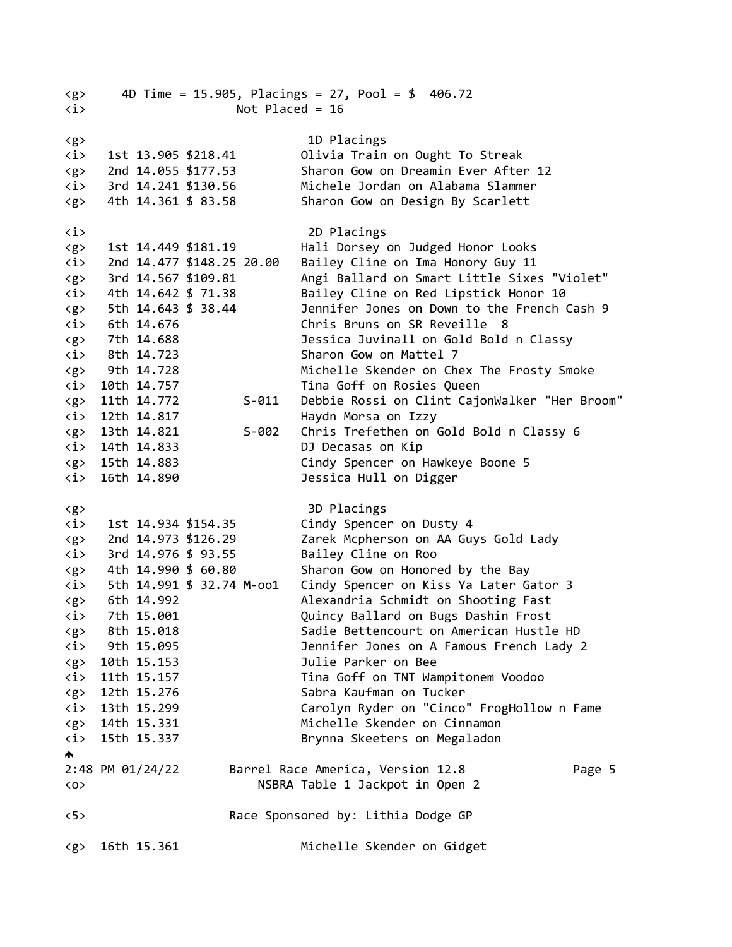| $\langle g \rangle$<br>$\langle i \rangle$ | 4D Time = $15.905$ , Placings = $27$ , Pool = \$ 406.72<br>Not Placed = $16$ |                  |                           |           |                                               |        |  |  |
|--------------------------------------------|------------------------------------------------------------------------------|------------------|---------------------------|-----------|-----------------------------------------------|--------|--|--|
|                                            |                                                                              |                  |                           |           |                                               |        |  |  |
| <g></g>                                    |                                                                              |                  |                           |           | 1D Placings                                   |        |  |  |
| <i></i>                                    |                                                                              |                  | 1st 13.905 \$218.41       |           | Olivia Train on Ought To Streak               |        |  |  |
| <g></g>                                    |                                                                              |                  | 2nd 14.055 \$177.53       |           | Sharon Gow on Dreamin Ever After 12           |        |  |  |
| <i></i>                                    |                                                                              |                  | 3rd 14.241 \$130.56       |           | Michele Jordan on Alabama Slammer             |        |  |  |
| $\langle g \rangle$                        |                                                                              |                  | 4th 14.361 \$ 83.58       |           | Sharon Gow on Design By Scarlett              |        |  |  |
| <i></i>                                    |                                                                              |                  |                           |           | 2D Placings                                   |        |  |  |
| <g></g>                                    |                                                                              |                  | 1st 14.449 \$181.19       |           | Hali Dorsey on Judged Honor Looks             |        |  |  |
| $\langle i \rangle$                        |                                                                              |                  | 2nd 14.477 \$148.25 20.00 |           | Bailey Cline on Ima Honory Guy 11             |        |  |  |
| <g></g>                                    |                                                                              |                  | 3rd 14.567 \$109.81       |           | Angi Ballard on Smart Little Sixes "Violet"   |        |  |  |
| <i></i>                                    |                                                                              |                  | 4th 14.642 \$ 71.38       |           | Bailey Cline on Red Lipstick Honor 10         |        |  |  |
| <g></g>                                    |                                                                              |                  | 5th 14.643 \$ 38.44       |           | Jennifer Jones on Down to the French Cash 9   |        |  |  |
| <i></i>                                    |                                                                              | 6th 14.676       |                           |           | Chris Bruns on SR Reveille 8                  |        |  |  |
| $\langle g \rangle$                        |                                                                              | 7th 14.688       |                           |           | Jessica Juvinall on Gold Bold n Classy        |        |  |  |
| <i></i>                                    |                                                                              | 8th 14.723       |                           |           | Sharon Gow on Mattel 7                        |        |  |  |
| $\langle g \rangle$                        |                                                                              | 9th 14.728       |                           |           | Michelle Skender on Chex The Frosty Smoke     |        |  |  |
| $\langle i \rangle$                        |                                                                              | 10th 14.757      |                           |           | Tina Goff on Rosies Queen                     |        |  |  |
| $\langle g \rangle$                        |                                                                              | 11th 14.772      |                           | $S - 011$ | Debbie Rossi on Clint CajonWalker "Her Broom" |        |  |  |
| $\langle i \rangle$                        |                                                                              | 12th 14.817      |                           |           | Haydn Morsa on Izzy                           |        |  |  |
| $\langle g \rangle$                        |                                                                              | 13th 14.821      |                           | $S-002$   | Chris Trefethen on Gold Bold n Classy 6       |        |  |  |
| $\langle i \rangle$                        |                                                                              | 14th 14.833      |                           |           | DJ Decasas on Kip                             |        |  |  |
| $\langle g \rangle$                        |                                                                              | 15th 14.883      |                           |           | Cindy Spencer on Hawkeye Boone 5              |        |  |  |
| <i></i>                                    |                                                                              | 16th 14.890      |                           |           | Jessica Hull on Digger                        |        |  |  |
| <g></g>                                    |                                                                              |                  |                           |           | 3D Placings                                   |        |  |  |
| <i></i>                                    |                                                                              |                  | 1st 14.934 \$154.35       |           | Cindy Spencer on Dusty 4                      |        |  |  |
| <g></g>                                    |                                                                              |                  | 2nd 14.973 \$126.29       |           | Zarek Mcpherson on AA Guys Gold Lady          |        |  |  |
| <i></i>                                    |                                                                              |                  | 3rd 14.976 \$ 93.55       |           | Bailey Cline on Roo                           |        |  |  |
| $\langle g \rangle$                        |                                                                              |                  | 4th 14.990 \$ 60.80       |           | Sharon Gow on Honored by the Bay              |        |  |  |
| $\langle i \rangle$                        |                                                                              |                  | 5th 14.991 \$ 32.74 M-oo1 |           | Cindy Spencer on Kiss Ya Later Gator 3        |        |  |  |
| <g></g>                                    |                                                                              | 6th 14.992       |                           |           | Alexandria Schmidt on Shooting Fast           |        |  |  |
| <i></i>                                    |                                                                              | 7th 15.001       |                           |           | Quincy Ballard on Bugs Dashin Frost           |        |  |  |
| <g></g>                                    |                                                                              | 8th 15.018       |                           |           | Sadie Bettencourt on American Hustle HD       |        |  |  |
| $\langle i \rangle$                        |                                                                              | 9th 15.095       |                           |           | Jennifer Jones on A Famous French Lady 2      |        |  |  |
| $\langle g \rangle$                        |                                                                              | 10th 15.153      |                           |           | Julie Parker on Bee                           |        |  |  |
| <i></i>                                    |                                                                              | 11th 15.157      |                           |           | Tina Goff on TNT Wampitonem Voodoo            |        |  |  |
| $\langle g \rangle$                        |                                                                              | 12th 15.276      |                           |           | Sabra Kaufman on Tucker                       |        |  |  |
| <i></i>                                    |                                                                              | 13th 15.299      |                           |           | Carolyn Ryder on "Cinco" FrogHollow n Fame    |        |  |  |
| $\langle g \rangle$                        |                                                                              | 14th 15.331      |                           |           | Michelle Skender on Cinnamon                  |        |  |  |
| $\langle i \rangle$                        |                                                                              | 15th 15.337      |                           |           | Brynna Skeeters on Megaladon                  |        |  |  |
| Δ.                                         |                                                                              |                  |                           |           |                                               |        |  |  |
|                                            |                                                                              | 2:48 PM 01/24/22 |                           |           | Barrel Race America, Version 12.8             | Page 5 |  |  |
| $\langle$ 0 $\rangle$                      |                                                                              |                  |                           |           | NSBRA Table 1 Jackpot in Open 2               |        |  |  |
| 5                                          |                                                                              |                  |                           |           | Race Sponsored by: Lithia Dodge GP            |        |  |  |
| $\langle g \rangle$                        |                                                                              | 16th 15.361      |                           |           | Michelle Skender on Gidget                    |        |  |  |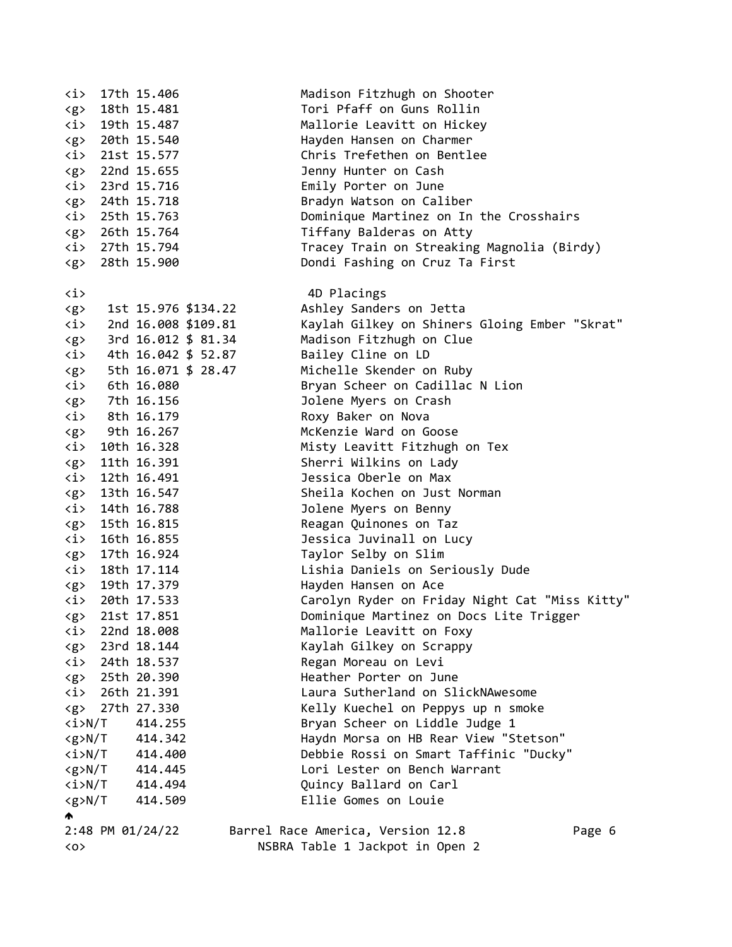| <i></i>               |                         | 17th 15.406                     | Madison Fitzhugh on Shooter                    |
|-----------------------|-------------------------|---------------------------------|------------------------------------------------|
| $\langle g \rangle$   |                         | 18th 15.481                     | Tori Pfaff on Guns Rollin                      |
|                       |                         | $\langle i \rangle$ 19th 15.487 | Mallorie Leavitt on Hickey                     |
|                       |                         | <g> 20th 15.540</g>             | Hayden Hansen on Charmer                       |
|                       |                         | $\langle i \rangle$ 21st 15.577 | Chris Trefethen on Bentlee                     |
|                       |                         | <g> 22nd 15.655</g>             | Jenny Hunter on Cash                           |
|                       |                         | $\langle i \rangle$ 23rd 15.716 | Emily Porter on June                           |
|                       |                         | <g> 24th 15.718</g>             | Bradyn Watson on Caliber                       |
|                       |                         | $\langle i \rangle$ 25th 15.763 | Dominique Martinez on In the Crosshairs        |
|                       |                         | <g> 26th 15.764</g>             | Tiffany Balderas on Atty                       |
|                       |                         | $\langle i \rangle$ 27th 15.794 | Tracey Train on Streaking Magnolia (Birdy)     |
| $\langle g \rangle$   |                         | 28th 15.900                     | Dondi Fashing on Cruz Ta First                 |
|                       |                         |                                 |                                                |
| <i></i>               |                         |                                 | 4D Placings                                    |
| $\langle g \rangle$   |                         | 1st 15.976 \$134.22             | Ashley Sanders on Jetta                        |
| $\langle i \rangle$   |                         | 2nd 16.008 \$109.81             | Kaylah Gilkey on Shiners Gloing Ember "Skrat"  |
| $\langle g \rangle$   |                         | 3rd 16.012 \$ 81.34             | Madison Fitzhugh on Clue                       |
| <i></i>               |                         | 4th 16.042 \$ 52.87             | Bailey Cline on LD                             |
| $\langle g \rangle$   |                         | 5th 16.071 \$ 28.47             | Michelle Skender on Ruby                       |
| $\langle i \rangle$   |                         | 6th 16.080                      | Bryan Scheer on Cadillac N Lion                |
| $\langle g \rangle$   |                         | 7th 16.156                      | Jolene Myers on Crash                          |
|                       |                         | $\langle i \rangle$ 8th 16.179  | Roxy Baker on Nova                             |
|                       |                         | <g> 9th 16.267</g>              | McKenzie Ward on Goose                         |
|                       |                         | $\langle i \rangle$ 10th 16.328 | Misty Leavitt Fitzhugh on Tex                  |
|                       |                         | <g> 11th 16.391</g>             | Sherri Wilkins on Lady                         |
|                       |                         | $\langle i \rangle$ 12th 16.491 | Jessica Oberle on Max                          |
|                       |                         | <g> 13th 16.547</g>             | Sheila Kochen on Just Norman                   |
| <i></i>               |                         | 14th 16.788                     | Jolene Myers on Benny                          |
|                       |                         | <g> 15th 16.815</g>             | Reagan Quinones on Taz                         |
|                       |                         | $\langle i \rangle$ 16th 16.855 | Jessica Juvinall on Lucy                       |
|                       |                         | <g> 17th 16.924</g>             | Taylor Selby on Slim                           |
|                       |                         | $\langle i \rangle$ 18th 17.114 | Lishia Daniels on Seriously Dude               |
|                       |                         | <g> 19th 17.379</g>             | Hayden Hansen on Ace                           |
|                       |                         | $\langle i \rangle$ 20th 17.533 | Carolyn Ryder on Friday Night Cat "Miss Kitty" |
| $\langle g \rangle$   |                         | 21st 17.851                     | Dominique Martinez on Docs Lite Trigger        |
| <i></i>               |                         | 22nd 18.008                     | Mallorie Leavitt on Foxy                       |
|                       |                         | <g> 23rd 18.144</g>             | Kaylah Gilkey on Scrappy                       |
|                       |                         | $\langle i \rangle$ 24th 18.537 | Regan Moreau on Levi                           |
|                       |                         | <g> 25th 20.390</g>             | Heather Porter on June                         |
|                       |                         | $\langle i \rangle$ 26th 21.391 | Laura Sutherland on SlickNAwesome              |
|                       |                         | <g> 27th 27.330</g>             | Kelly Kuechel on Peppys up n smoke             |
| <i>N/T</i>            |                         | 414.255                         | Bryan Scheer on Liddle Judge 1                 |
|                       | <g>N/T</g>              | 414.342                         | Haydn Morsa on HB Rear View "Stetson"          |
|                       |                         | $\langle i \rangle N/T$ 414.400 | Debbie Rossi on Smart Taffinic "Ducky"         |
|                       |                         | $\langle g \rangle N/T$ 414.445 | Lori Lester on Bench Warrant                   |
|                       |                         | $\langle i \rangle N/T$ 414.494 | Quincy Ballard on Carl                         |
|                       | $\langle g \rangle N/T$ | 414.509                         | Ellie Gomes on Louie                           |
| ₼                     |                         |                                 |                                                |
|                       |                         | 2:48 PM 01/24/22                | Barrel Race America, Version 12.8<br>Page 6    |
| $\langle$ 0 $\rangle$ |                         |                                 | NSBRA Table 1 Jackpot in Open 2                |
|                       |                         |                                 |                                                |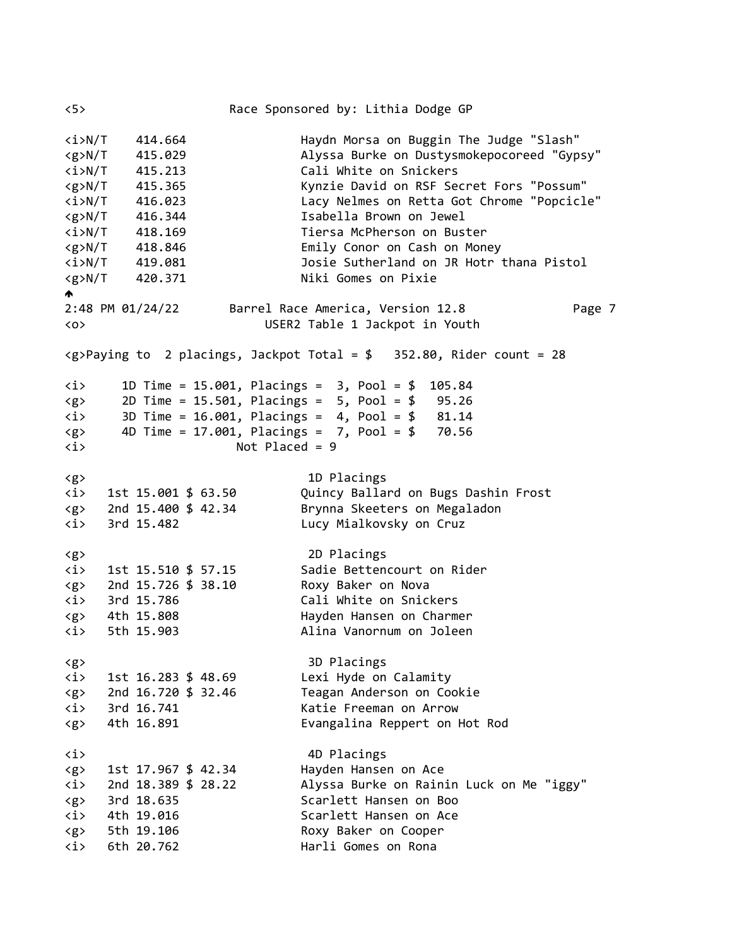<5> Race Sponsored by: Lithia Dodge GP <i>N/T 414.664 Haydn Morsa on Buggin The Judge "Slash" <g>N/T 415.029 Alyssa Burke on Dustysmokepocoreed "Gypsy" <i>N/T 415.213 Cali White on Snickers <g>N/T 415.365 Kynzie David on RSF Secret Fors "Possum" <i>N/T 416.023 Lacy Nelmes on Retta Got Chrome "Popcicle" <g>N/T 416.344 Isabella Brown on Jewel <i>N/T 418.169 Tiersa McPherson on Buster <g>N/T 418.846 Emily Conor on Cash on Money <i>N/T 419.081 Josie Sutherland on JR Hotr thana Pistol <g>N/T 420.371 Niki Gomes on Pixie  $\blacklozenge$ 2:48 PM 01/24/22 Barrel Race America, Version 12.8 Page 7 <o> USER2 Table 1 Jackpot in Youth  $\langle g \rangle$ Paying to 2 placings, Jackpot Total = \$ 352.80, Rider count = 28 <i> 1D Time = 15.001, Placings = 3, Pool = \$ 105.84 <g> 2D Time = 15.501, Placings = 5, Pool = \$ 95.26  $\langle i \rangle$  3D Time = 16.001, Placings = 4, Pool = \$ 81.14 <g> 4D Time = 17.001, Placings = 7, Pool = \$ 70.56 <i> Not Placed = 9 <g> 1D Placings <i> 1st 15.001 \$ 63.50 Quincy Ballard on Bugs Dashin Frost <g> 2nd 15.400 \$ 42.34 Brynna Skeeters on Megaladon <i> 3rd 15.482 Lucy Mialkovsky on Cruz <g> 2D Placings <i> 1st 15.510 \$ 57.15 Sadie Bettencourt on Rider <g> 2nd 15.726 \$ 38.10 Roxy Baker on Nova <i> 3rd 15.786 Cali White on Snickers <g> 4th 15.808 Hayden Hansen on Charmer <i> 5th 15.903 Alina Vanornum on Joleen <g> 3D Placings <i> 1st 16.283 \$ 48.69 Lexi Hyde on Calamity <g> 2nd 16.720 \$ 32.46 Teagan Anderson on Cookie <i> 3rd 16.741 Katie Freeman on Arrow <g> 4th 16.891 Evangalina Reppert on Hot Rod <i> 4D Placings <g> 1st 17.967 \$ 42.34 Hayden Hansen on Ace <i> 2nd 18.389 \$ 28.22 Alyssa Burke on Rainin Luck on Me "iggy" <g> 3rd 18.635 Scarlett Hansen on Boo <i> 4th 19.016 Scarlett Hansen on Ace <g> 5th 19.106 Roxy Baker on Cooper <i> 6th 20.762 Harli Gomes on Rona